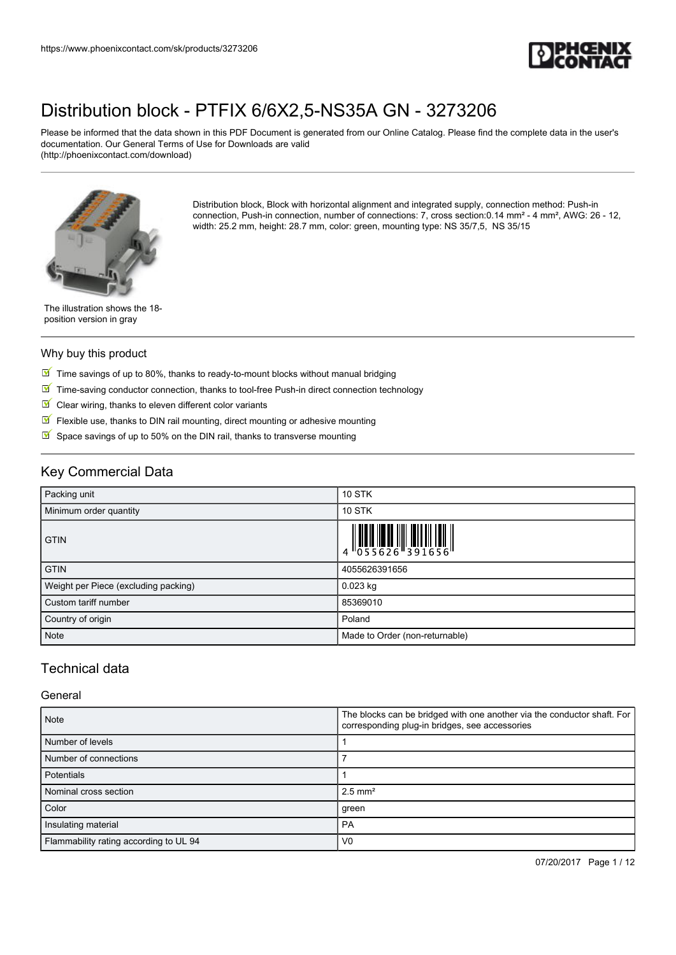

Please be informed that the data shown in this PDF Document is generated from our Online Catalog. Please find the complete data in the user's documentation. Our General Terms of Use for Downloads are valid (http://phoenixcontact.com/download)



Distribution block, Block with horizontal alignment and integrated supply, connection method: Push-in connection, Push-in connection, number of connections: 7, cross section:0.14 mm² - 4 mm², AWG: 26 - 12, width: 25.2 mm, height: 28.7 mm, color: green, mounting type: NS 35/7,5, NS 35/15

The illustration shows the 18 position version in gray

#### Why buy this product

- $\boxed{\blacksquare}$  Time savings of up to 80%, thanks to ready-to-mount blocks without manual bridging
- $\boxed{\blacksquare}$  Time-saving conductor connection, thanks to tool-free Push-in direct connection technology
- $\blacksquare$  Clear wiring, thanks to eleven different color variants
- $\sqrt{}$ Flexible use, thanks to DIN rail mounting, direct mounting or adhesive mounting
- $\triangleright$  Space savings of up to 50% on the DIN rail, thanks to transverse mounting

## Key Commercial Data

| Packing unit                         | <b>10 STK</b>                                                                                                                                                                                                                                                                                                                  |
|--------------------------------------|--------------------------------------------------------------------------------------------------------------------------------------------------------------------------------------------------------------------------------------------------------------------------------------------------------------------------------|
| Minimum order quantity               | <b>10 STK</b>                                                                                                                                                                                                                                                                                                                  |
| <b>GTIN</b>                          | $\begin{array}{c} 1 & 0 & 0 & 0 \\ 0 & 0 & 0 & 0 \\ 0 & 0 & 0 & 0 \\ 0 & 0 & 0 & 0 \\ 0 & 0 & 0 & 0 \\ 0 & 0 & 0 & 0 \\ 0 & 0 & 0 & 0 \\ 0 & 0 & 0 & 0 \\ 0 & 0 & 0 & 0 \\ 0 & 0 & 0 & 0 \\ 0 & 0 & 0 & 0 \\ 0 & 0 & 0 & 0 \\ 0 & 0 & 0 & 0 & 0 \\ 0 & 0 & 0 & 0 & 0 \\ 0 & 0 & 0 & 0 & 0 \\ 0 & 0 & 0 & 0 & 0 \\ 0 & 0 & 0 &$ |
| <b>GTIN</b>                          | 4055626391656                                                                                                                                                                                                                                                                                                                  |
| Weight per Piece (excluding packing) | $0.023$ kg                                                                                                                                                                                                                                                                                                                     |
| Custom tariff number                 | 85369010                                                                                                                                                                                                                                                                                                                       |
| Country of origin                    | Poland                                                                                                                                                                                                                                                                                                                         |
| Note                                 | Made to Order (non-returnable)                                                                                                                                                                                                                                                                                                 |

## Technical data

#### **General**

| <b>Note</b>                            | The blocks can be bridged with one another via the conductor shaft. For<br>corresponding plug-in bridges, see accessories |  |
|----------------------------------------|---------------------------------------------------------------------------------------------------------------------------|--|
| Number of levels                       |                                                                                                                           |  |
| Number of connections                  |                                                                                                                           |  |
| <b>Potentials</b>                      |                                                                                                                           |  |
| Nominal cross section                  | $2.5$ mm <sup>2</sup>                                                                                                     |  |
| Color                                  | green                                                                                                                     |  |
| Insulating material                    | PA                                                                                                                        |  |
| Flammability rating according to UL 94 | V <sub>0</sub>                                                                                                            |  |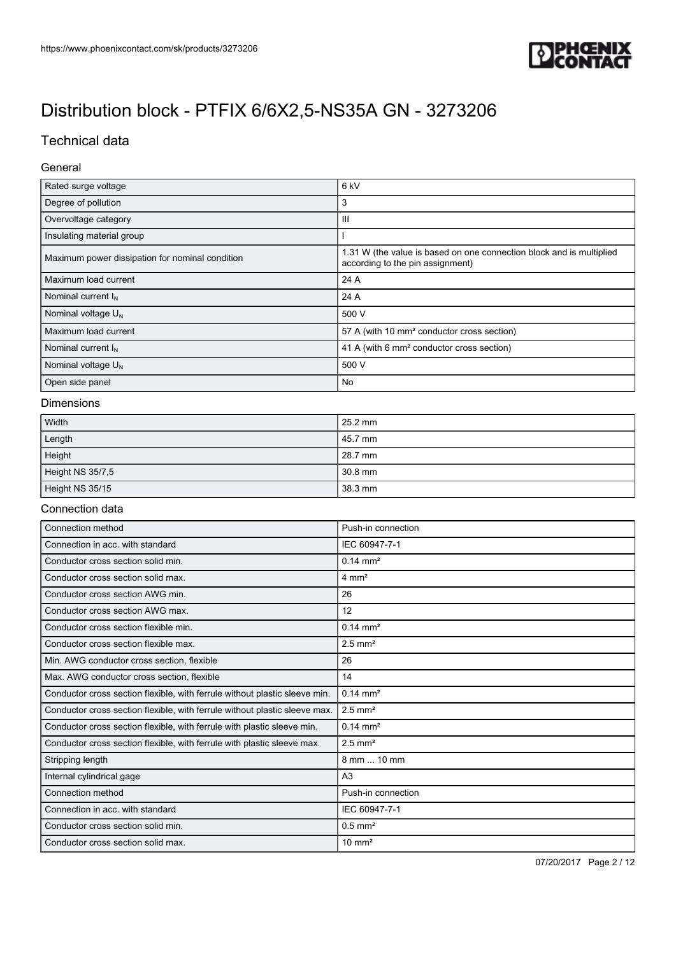

## Technical data

### General

| Rated surge voltage                             | 6 <sub>kV</sub>                                                                                          |  |
|-------------------------------------------------|----------------------------------------------------------------------------------------------------------|--|
| Degree of pollution                             | 3                                                                                                        |  |
| Overvoltage category                            | Ш                                                                                                        |  |
| Insulating material group                       |                                                                                                          |  |
| Maximum power dissipation for nominal condition | 1.31 W (the value is based on one connection block and is multiplied<br>according to the pin assignment) |  |
| Maximum load current                            | 24 A                                                                                                     |  |
| Nominal current $I_N$                           | 24 A                                                                                                     |  |
| Nominal voltage $U_N$                           | 500 V                                                                                                    |  |
| Maximum load current                            | 57 A (with 10 mm <sup>2</sup> conductor cross section)                                                   |  |
| Nominal current $I_N$                           | 41 A (with 6 mm <sup>2</sup> conductor cross section)                                                    |  |
| Nominal voltage $U_N$                           | 500 V                                                                                                    |  |
| Open side panel                                 | No                                                                                                       |  |

### Dimensions

| Width            | 25.2 mm |
|------------------|---------|
| Length           | 45.7 mm |
| Height           | 28.7 mm |
| Height NS 35/7,5 | 30.8 mm |
| Height NS 35/15  | 38.3 mm |

#### Connection data

| Connection method                                                          | Push-in connection    |
|----------------------------------------------------------------------------|-----------------------|
| Connection in acc. with standard                                           | IEC 60947-7-1         |
| Conductor cross section solid min.                                         | $0.14 \, \text{mm}^2$ |
| Conductor cross section solid max.                                         | $4 \text{ mm}^2$      |
| Conductor cross section AWG min.                                           | 26                    |
| Conductor cross section AWG max.                                           | 12                    |
| Conductor cross section flexible min.                                      | $0.14 \, \text{mm}^2$ |
| Conductor cross section flexible max.                                      | $2.5$ mm <sup>2</sup> |
| Min. AWG conductor cross section, flexible                                 | 26                    |
| Max. AWG conductor cross section, flexible                                 | 14                    |
| Conductor cross section flexible, with ferrule without plastic sleeve min. | $0.14 \, \text{mm}^2$ |
| Conductor cross section flexible, with ferrule without plastic sleeve max. | $2.5$ mm <sup>2</sup> |
| Conductor cross section flexible, with ferrule with plastic sleeve min.    | $0.14 \, \text{mm}^2$ |
| Conductor cross section flexible, with ferrule with plastic sleeve max.    | $2.5$ mm <sup>2</sup> |
| Stripping length                                                           | 8 mm  10 mm           |
| Internal cylindrical gage                                                  | A <sub>3</sub>        |
| Connection method                                                          | Push-in connection    |
| Connection in acc. with standard                                           | IEC 60947-7-1         |
| Conductor cross section solid min.                                         | $0.5$ mm <sup>2</sup> |
| Conductor cross section solid max.                                         | $10 \text{ mm}^2$     |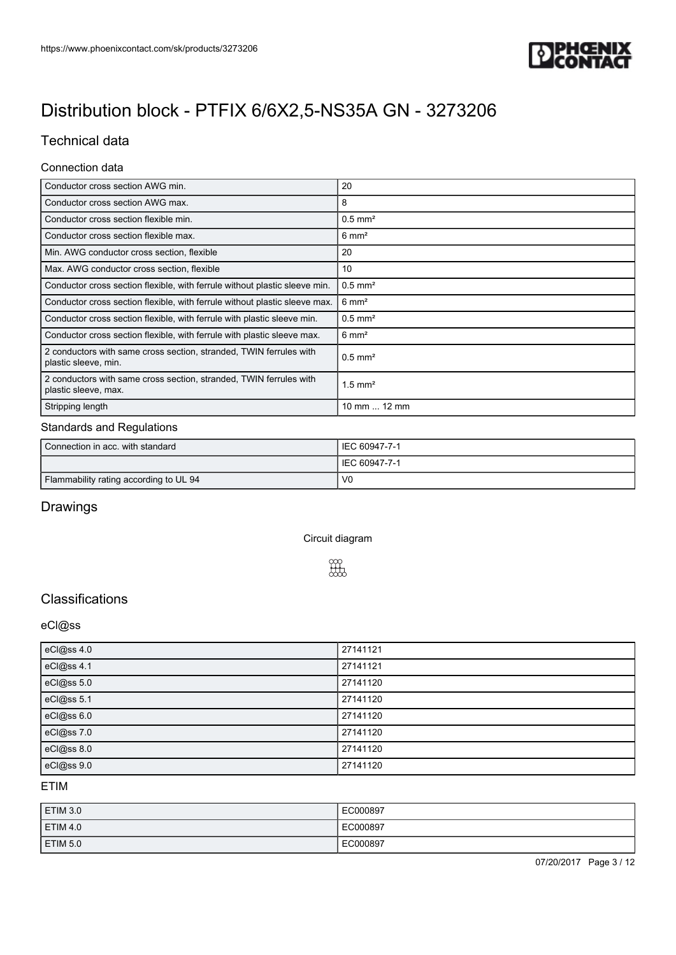

## Technical data

### Connection data

| Conductor cross section AWG min.                                                           | 20                    |
|--------------------------------------------------------------------------------------------|-----------------------|
| Conductor cross section AWG max.                                                           | 8                     |
| Conductor cross section flexible min.                                                      | $0.5$ mm <sup>2</sup> |
| Conductor cross section flexible max.                                                      | $6 \text{ mm}^2$      |
| Min. AWG conductor cross section, flexible                                                 | 20                    |
| Max. AWG conductor cross section, flexible                                                 | 10                    |
| Conductor cross section flexible, with ferrule without plastic sleeve min.                 | $0.5$ mm <sup>2</sup> |
| Conductor cross section flexible, with ferrule without plastic sleeve max.                 | $6 \text{ mm}^2$      |
| Conductor cross section flexible, with ferrule with plastic sleeve min.                    | $0.5$ mm <sup>2</sup> |
| Conductor cross section flexible, with ferrule with plastic sleeve max.                    | $6 \text{ mm}^2$      |
| 2 conductors with same cross section, stranded, TWIN ferrules with<br>plastic sleeve, min. | $0.5$ mm <sup>2</sup> |
| 2 conductors with same cross section, stranded, TWIN ferrules with<br>plastic sleeve, max. | $1.5$ mm <sup>2</sup> |
| Stripping length                                                                           | 10 mm  12 mm          |

#### Standards and Regulations

| Connection in acc. with standard       | LIEC 60947-7-1  |
|----------------------------------------|-----------------|
|                                        | I IEC 60947-7-1 |
| Flammability rating according to UL 94 | - VC            |

## Drawings

Circuit diagram



## **Classifications**

### eCl@ss

| eCl@ss 4.0 | 27141121 |
|------------|----------|
| eCl@ss 4.1 | 27141121 |
| eCl@ss 5.0 | 27141120 |
| eCl@ss 5.1 | 27141120 |
| eCl@ss 6.0 | 27141120 |
| eCl@ss 7.0 | 27141120 |
| eCl@ss 8.0 | 27141120 |
| eCl@ss 9.0 | 27141120 |

ETIM

| ETIM 3.0            | EC000897 |
|---------------------|----------|
| ETIM 4.0            | EC000897 |
| ETIM <sub>5.0</sub> | EC000897 |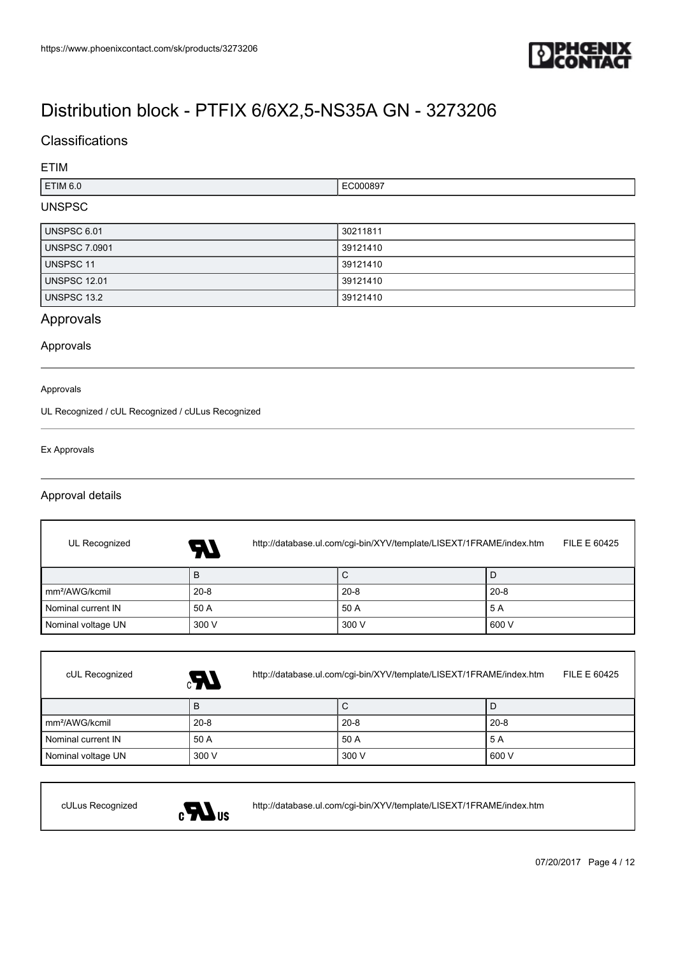

## **Classifications**

### ETIM

| TIM 6.0. | .<br>789 |
|----------|----------|
|          |          |

## UNSPSC

| UNSPSC 6.01          | 30211811 |
|----------------------|----------|
| <b>UNSPSC 7.0901</b> | 39121410 |
| UNSPSC 11            | 39121410 |
| <b>UNSPSC 12.01</b>  | 39121410 |
| UNSPSC 13.2          | 39121410 |

## Approvals

Approvals

#### Approvals

UL Recognized / cUL Recognized / cULus Recognized

#### Ex Approvals

### Approval details

| UL Recognized              | http://database.ul.com/cgi-bin/XYV/template/LISEXT/1FRAME/index.htm<br>74 | FILE E 60425 |          |
|----------------------------|---------------------------------------------------------------------------|--------------|----------|
|                            | в                                                                         | С            |          |
| mm <sup>2</sup> /AWG/kcmil | $20 - 8$                                                                  | $20 - 8$     | $20 - 8$ |
| Nominal current IN         | 50 A                                                                      | 50 A         | 5 A      |
| Nominal voltage UN         | 300 V                                                                     | 300 V        | 600 V    |

| cUL Recognized             | http://database.ul.com/cgi-bin/XYV/template/LISEXT/1FRAME/index.htm<br>GR. |          | FILE E 60425 |
|----------------------------|----------------------------------------------------------------------------|----------|--------------|
|                            | B                                                                          | С        |              |
| Im <sup>2</sup> /AWG/kcmil | $20 - 8$                                                                   | $20 - 8$ | $20 - 8$     |
| Nominal current IN         | 50 A                                                                       | 50 A     | 5 A          |
| Nominal voltage UN         | 300 V                                                                      | 300 V    | 600 V        |



cULus Recognized <http://database.ul.com/cgi-bin/XYV/template/LISEXT/1FRAME/index.htm>

07/20/2017 Page 4 / 12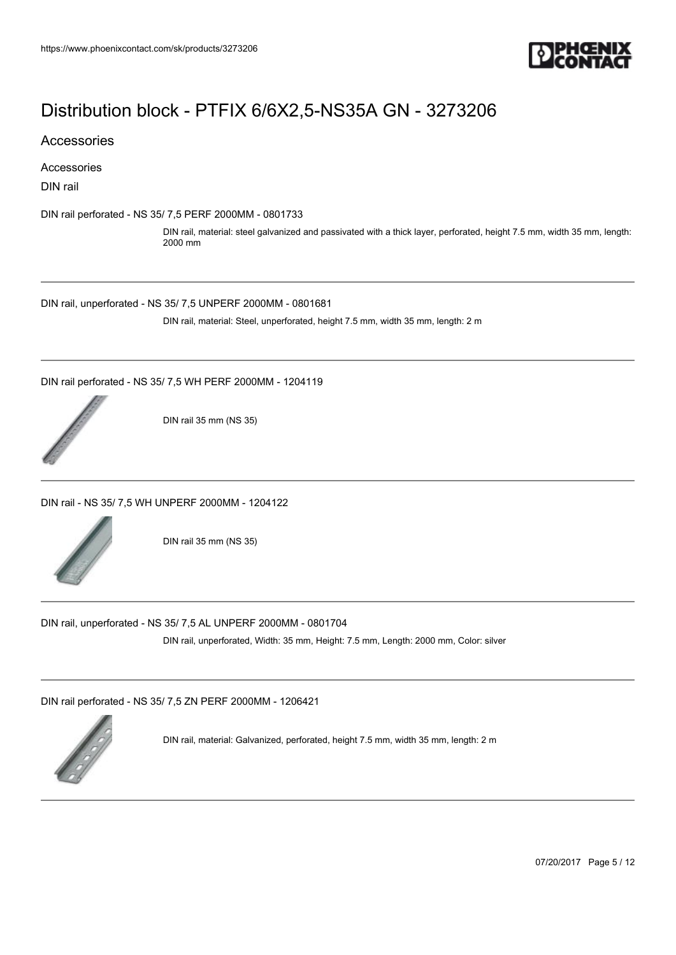

Accessories

Accessories

DIN rail

[DIN rail perforated - NS 35/ 7,5 PERF 2000MM - 0801733](https://www.phoenixcontact.com/sk/products/0801733)

DIN rail, material: steel galvanized and passivated with a thick layer, perforated, height 7.5 mm, width 35 mm, length: 2000 mm

[DIN rail, unperforated - NS 35/ 7,5 UNPERF 2000MM - 0801681](https://www.phoenixcontact.com/sk/products/0801681)

DIN rail, material: Steel, unperforated, height 7.5 mm, width 35 mm, length: 2 m

[DIN rail perforated - NS 35/ 7,5 WH PERF 2000MM - 1204119](https://www.phoenixcontact.com/sk/products/1204119)



DIN rail 35 mm (NS 35)

[DIN rail - NS 35/ 7,5 WH UNPERF 2000MM - 1204122](https://www.phoenixcontact.com/sk/products/1204122)



DIN rail 35 mm (NS 35)

[DIN rail, unperforated - NS 35/ 7,5 AL UNPERF 2000MM - 0801704](https://www.phoenixcontact.com/sk/products/0801704)

DIN rail, unperforated, Width: 35 mm, Height: 7.5 mm, Length: 2000 mm, Color: silver

[DIN rail perforated - NS 35/ 7,5 ZN PERF 2000MM - 1206421](https://www.phoenixcontact.com/sk/products/1206421)



DIN rail, material: Galvanized, perforated, height 7.5 mm, width 35 mm, length: 2 m

07/20/2017 Page 5 / 12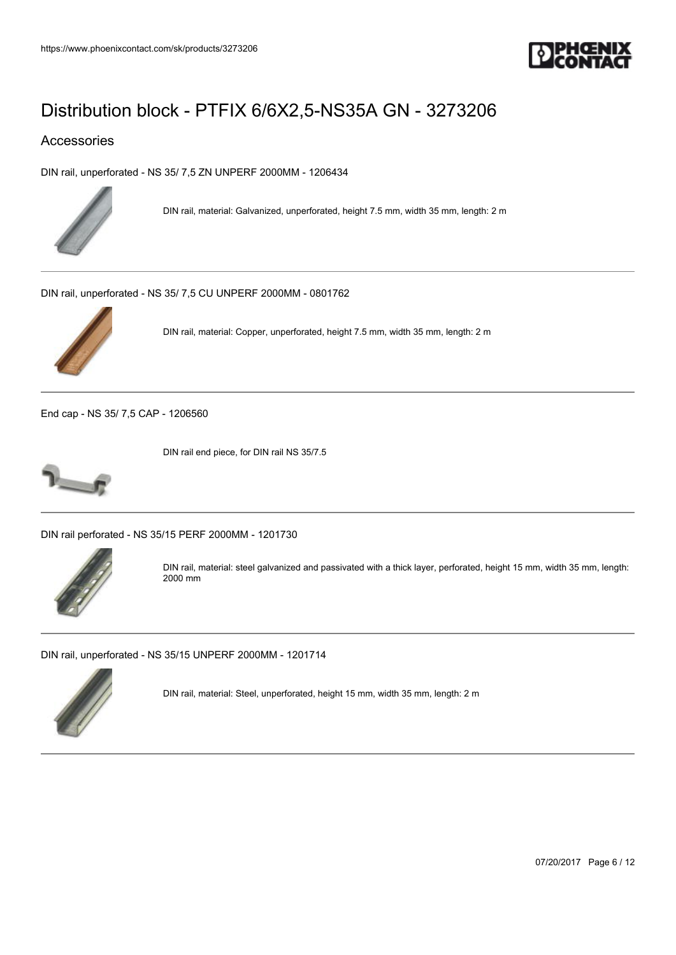

### Accessories

[DIN rail, unperforated - NS 35/ 7,5 ZN UNPERF 2000MM - 1206434](https://www.phoenixcontact.com/sk/products/1206434)



DIN rail, material: Galvanized, unperforated, height 7.5 mm, width 35 mm, length: 2 m

[DIN rail, unperforated - NS 35/ 7,5 CU UNPERF 2000MM - 0801762](https://www.phoenixcontact.com/sk/products/0801762)



DIN rail, material: Copper, unperforated, height 7.5 mm, width 35 mm, length: 2 m

[End cap - NS 35/ 7,5 CAP - 1206560](https://www.phoenixcontact.com/sk/products/1206560)



DIN rail end piece, for DIN rail NS 35/7.5

[DIN rail perforated - NS 35/15 PERF 2000MM - 1201730](https://www.phoenixcontact.com/sk/products/1201730)



DIN rail, material: steel galvanized and passivated with a thick layer, perforated, height 15 mm, width 35 mm, length: 2000 mm

[DIN rail, unperforated - NS 35/15 UNPERF 2000MM - 1201714](https://www.phoenixcontact.com/sk/products/1201714)



DIN rail, material: Steel, unperforated, height 15 mm, width 35 mm, length: 2 m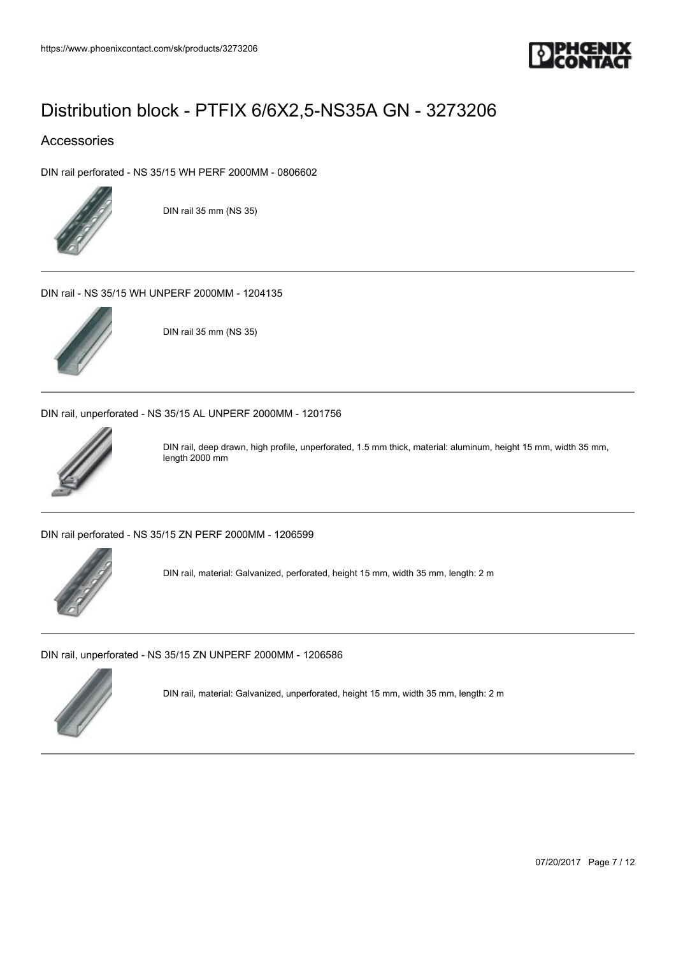

### Accessories

[DIN rail perforated - NS 35/15 WH PERF 2000MM - 0806602](https://www.phoenixcontact.com/sk/products/0806602)



DIN rail 35 mm (NS 35)

[DIN rail - NS 35/15 WH UNPERF 2000MM - 1204135](https://www.phoenixcontact.com/sk/products/1204135)



DIN rail 35 mm (NS 35)

[DIN rail, unperforated - NS 35/15 AL UNPERF 2000MM - 1201756](https://www.phoenixcontact.com/sk/products/1201756)



DIN rail, deep drawn, high profile, unperforated, 1.5 mm thick, material: aluminum, height 15 mm, width 35 mm, length 2000 mm

[DIN rail perforated - NS 35/15 ZN PERF 2000MM - 1206599](https://www.phoenixcontact.com/sk/products/1206599)



DIN rail, material: Galvanized, perforated, height 15 mm, width 35 mm, length: 2 m

[DIN rail, unperforated - NS 35/15 ZN UNPERF 2000MM - 1206586](https://www.phoenixcontact.com/sk/products/1206586)



DIN rail, material: Galvanized, unperforated, height 15 mm, width 35 mm, length: 2 m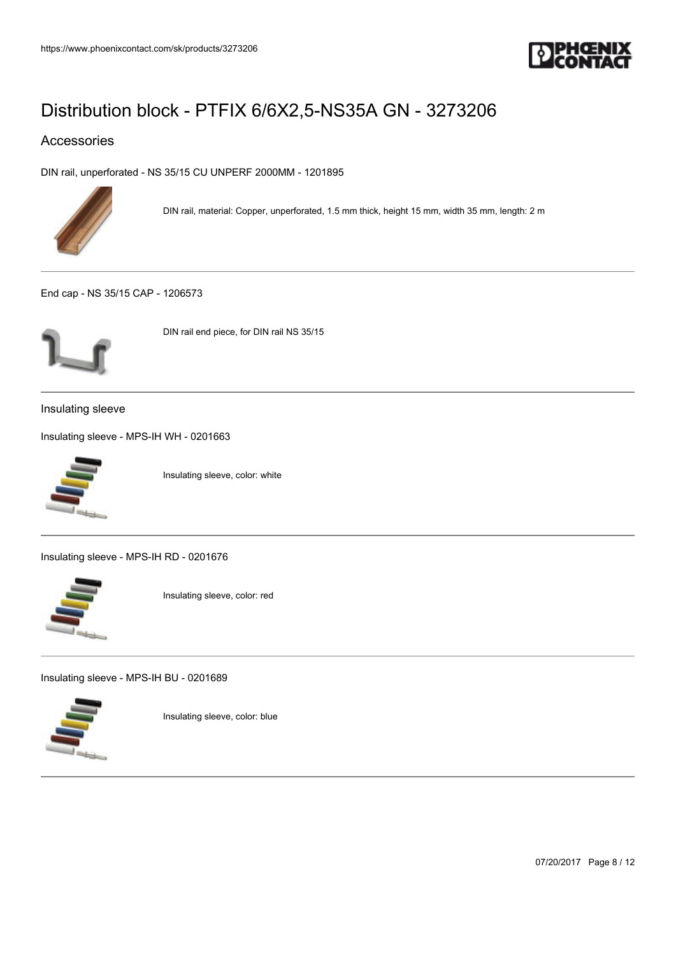

## Accessories

[DIN rail, unperforated - NS 35/15 CU UNPERF 2000MM - 1201895](https://www.phoenixcontact.com/sk/products/1201895)



DIN rail, material: Copper, unperforated, 1.5 mm thick, height 15 mm, width 35 mm, length: 2 m

[End cap - NS 35/15 CAP - 1206573](https://www.phoenixcontact.com/sk/products/1206573)



DIN rail end piece, for DIN rail NS 35/15

Insulating sleeve

[Insulating sleeve - MPS-IH WH - 0201663](https://www.phoenixcontact.com/sk/products/0201663)



Insulating sleeve, color: white

[Insulating sleeve - MPS-IH RD - 0201676](https://www.phoenixcontact.com/sk/products/0201676)



Insulating sleeve, color: red

[Insulating sleeve - MPS-IH BU - 0201689](https://www.phoenixcontact.com/sk/products/0201689)



Insulating sleeve, color: blue

07/20/2017 Page 8 / 12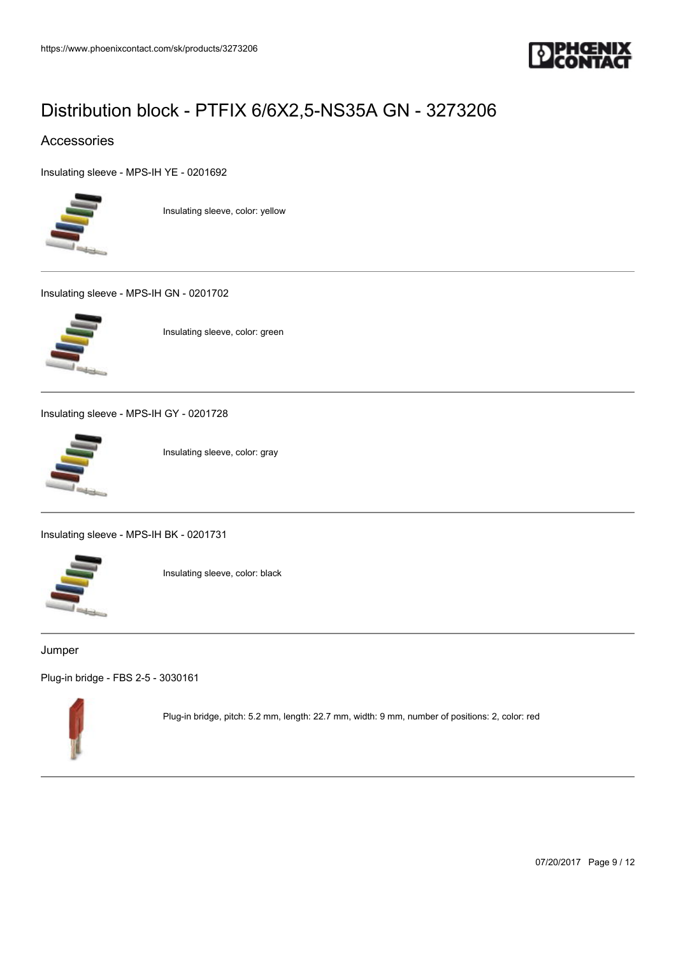

### Accessories

[Insulating sleeve - MPS-IH YE - 0201692](https://www.phoenixcontact.com/sk/products/0201692)



Insulating sleeve, color: yellow

[Insulating sleeve - MPS-IH GN - 0201702](https://www.phoenixcontact.com/sk/products/0201702)



Insulating sleeve, color: green

[Insulating sleeve - MPS-IH GY - 0201728](https://www.phoenixcontact.com/sk/products/0201728)



Insulating sleeve, color: gray

[Insulating sleeve - MPS-IH BK - 0201731](https://www.phoenixcontact.com/sk/products/0201731)



Insulating sleeve, color: black

#### Jumper

[Plug-in bridge - FBS 2-5 - 3030161](https://www.phoenixcontact.com/sk/products/3030161)



Plug-in bridge, pitch: 5.2 mm, length: 22.7 mm, width: 9 mm, number of positions: 2, color: red

07/20/2017 Page 9 / 12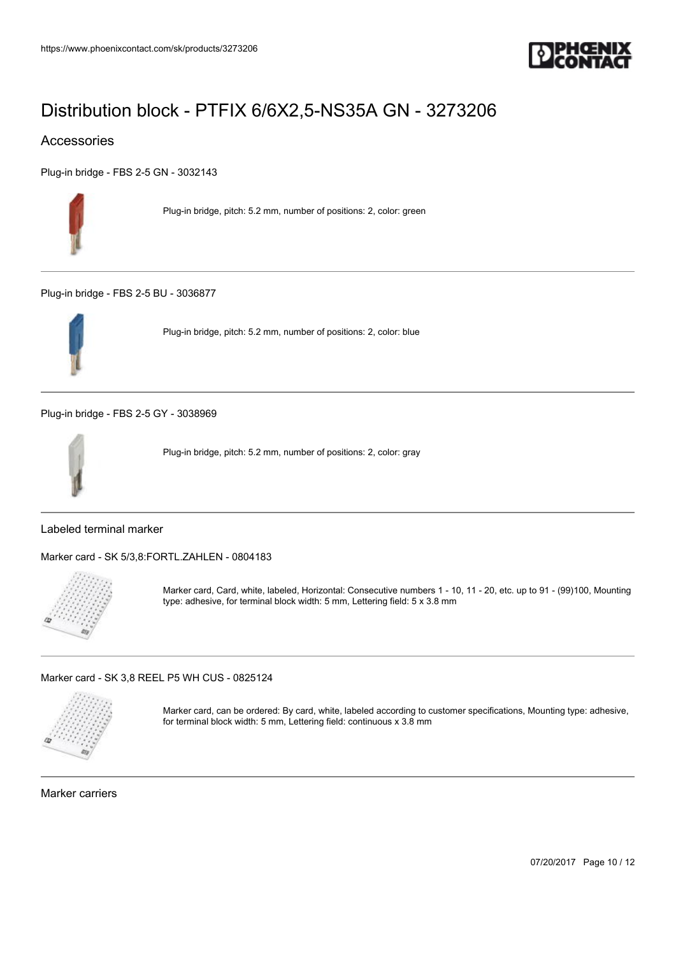

## Accessories

[Plug-in bridge - FBS 2-5 GN - 3032143](https://www.phoenixcontact.com/sk/products/3032143)



Plug-in bridge, pitch: 5.2 mm, number of positions: 2, color: green

[Plug-in bridge - FBS 2-5 BU - 3036877](https://www.phoenixcontact.com/sk/products/3036877)



Plug-in bridge, pitch: 5.2 mm, number of positions: 2, color: blue

[Plug-in bridge - FBS 2-5 GY - 3038969](https://www.phoenixcontact.com/sk/products/3038969)



Plug-in bridge, pitch: 5.2 mm, number of positions: 2, color: gray

### Labeled terminal marker

[Marker card - SK 5/3,8:FORTL.ZAHLEN - 0804183](https://www.phoenixcontact.com/sk/products/0804183)



Marker card, Card, white, labeled, Horizontal: Consecutive numbers 1 - 10, 11 - 20, etc. up to 91 - (99)100, Mounting type: adhesive, for terminal block width: 5 mm, Lettering field: 5 x 3.8 mm

[Marker card - SK 3,8 REEL P5 WH CUS - 0825124](https://www.phoenixcontact.com/sk/products/0825124)



Marker card, can be ordered: By card, white, labeled according to customer specifications, Mounting type: adhesive, for terminal block width: 5 mm, Lettering field: continuous x 3.8 mm

Marker carriers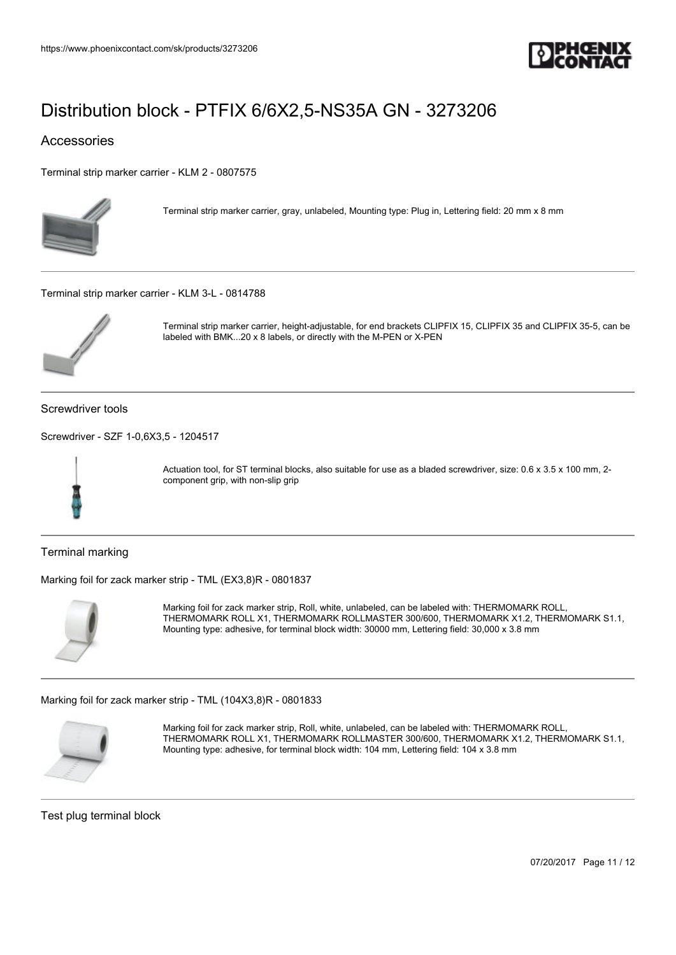

### Accessories

[Terminal strip marker carrier - KLM 2 - 0807575](https://www.phoenixcontact.com/sk/products/0807575)



Terminal strip marker carrier, gray, unlabeled, Mounting type: Plug in, Lettering field: 20 mm x 8 mm

[Terminal strip marker carrier - KLM 3-L - 0814788](https://www.phoenixcontact.com/sk/products/0814788)



Terminal strip marker carrier, height-adjustable, for end brackets CLIPFIX 15, CLIPFIX 35 and CLIPFIX 35-5, can be labeled with BMK...20 x 8 labels, or directly with the M-PEN or X-PEN

Screwdriver tools

[Screwdriver - SZF 1-0,6X3,5 - 1204517](https://www.phoenixcontact.com/sk/products/1204517)



Actuation tool, for ST terminal blocks, also suitable for use as a bladed screwdriver, size: 0.6 x 3.5 x 100 mm, 2component grip, with non-slip grip

Terminal marking

[Marking foil for zack marker strip - TML \(EX3,8\)R - 0801837](https://www.phoenixcontact.com/sk/products/0801837)



Marking foil for zack marker strip, Roll, white, unlabeled, can be labeled with: THERMOMARK ROLL, THERMOMARK ROLL X1, THERMOMARK ROLLMASTER 300/600, THERMOMARK X1.2, THERMOMARK S1.1, Mounting type: adhesive, for terminal block width: 30000 mm, Lettering field: 30,000 x 3.8 mm

[Marking foil for zack marker strip - TML \(104X3,8\)R - 0801833](https://www.phoenixcontact.com/sk/products/0801833)



Marking foil for zack marker strip, Roll, white, unlabeled, can be labeled with: THERMOMARK ROLL, THERMOMARK ROLL X1, THERMOMARK ROLLMASTER 300/600, THERMOMARK X1.2, THERMOMARK S1.1, Mounting type: adhesive, for terminal block width: 104 mm, Lettering field: 104 x 3.8 mm

Test plug terminal block